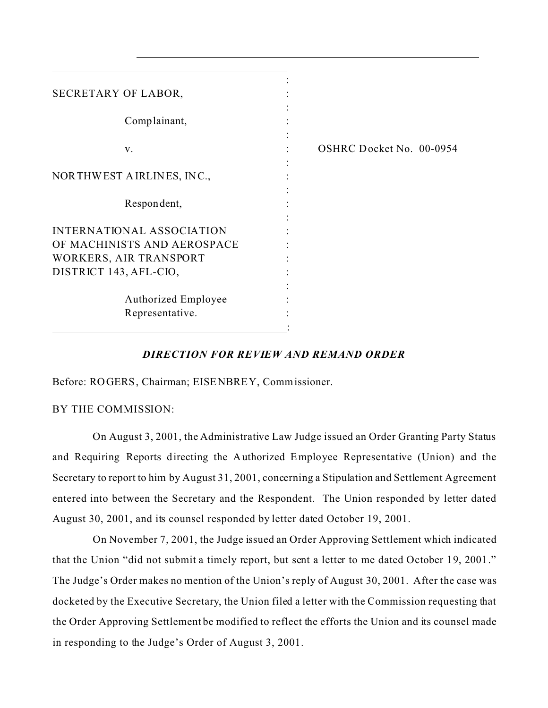| SECRETARY OF LABOR,                                   |                          |
|-------------------------------------------------------|--------------------------|
| Complainant,                                          |                          |
| V.                                                    | OSHRC Docket No. 00-0954 |
| NORTHWEST AIRLINES, INC.,                             |                          |
| Respondent,                                           |                          |
| INTERNATIONAL ASSOCIATION                             |                          |
| OF MACHINISTS AND AEROSPACE<br>WORKERS, AIR TRANSPORT |                          |
| DISTRICT 143, AFL-CIO,                                |                          |
| <b>Authorized Employee</b><br>Representative.         |                          |
|                                                       |                          |

# *DIRECTION FOR REVIEW AND REMAND ORDER*

Before: ROGERS, Chairman; EISENBREY, Commissioner.

BY THE COMMISSION:

On August 3, 2001, the Administrative Law Judge issued an Order Granting Party Status and Requiring Reports directing the Authorized Employee Representative (Union) and the Secretary to report to him by August 31, 2001, concerning a Stipulation and Settlement Agreement entered into between the Secretary and the Respondent. The Union responded by letter dated August 30, 2001, and its counsel responded by letter dated October 19, 2001.

On November 7, 2001, the Judge issued an Order Approving Settlement which indicated that the Union "did not submit a timely report, but sent a letter to me dated October 19, 2001." The Judge's Order makes no mention of the Union's reply of August 30, 2001. After the case was docketed by the Executive Secretary, the Union filed a letter with the Commission requesting that the Order Approving Settlement be modified to reflect the efforts the Union and its counsel made in responding to the Judge's Order of August 3, 2001.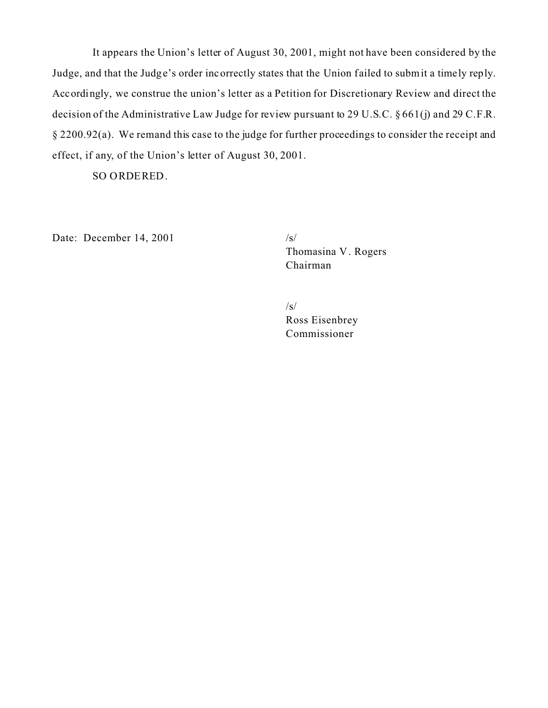It appears the Union's letter of August 30, 2001, might not have been considered by the Judge, and that the Judge's order incorrectly states that the Union failed to submit a timely reply. Accordingly, we construe the union's letter as a Petition for Discretionary Review and direct the decision of the Administrative Law Judge for review pursuant to 29 U.S.C. § 661(j) and 29 C.F.R. § 2200.92(a). We remand this case to the judge for further proceedings to consider the receipt and effect, if any, of the Union's letter of August 30, 2001.

SO ORDERED.

Date: December 14, 2001  $/s/$ 

Thomasina V . Rogers Chairman

 $\sqrt{s}$ Ross Eisenbrey Commissioner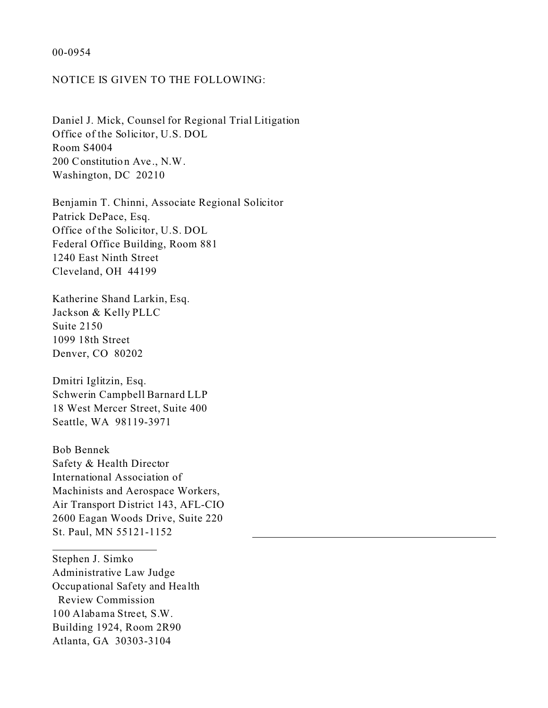### 00-0954

## NOTICE IS GIVEN TO THE FOLLOWING:

Daniel J. Mick, Counsel for Regional Trial Litigation Office of the Solicitor, U.S. DOL Room S4004 200 Constitution Ave ., N.W. Washington, DC 20210

Benjamin T. Chinni, Associate Regional Solicitor Patrick DePace, Esq. Office of the Solicitor, U.S. DOL Federal Office Building, Room 881 1240 East Ninth Street Cleveland, OH 44199

Katherine Shand Larkin, Esq. Jackson & Kelly PLLC Suite 2150 1099 18th Street Denver, CO 80202

Dmitri Iglitzin, Esq. Schwerin Campbell Barnard LLP 18 West Mercer Street, Suite 400 Seattle, WA 98119-3971

Bob Bennek Safety & Health Director International Association of Machinists and Aerospace Workers, Air Transport District 143, AFL-CIO 2600 Eagan Woods Drive, Suite 220 St. Paul, MN 55121-1152

Stephen J. Simko Administrative Law Judge Occupational Safety and Hea lth Review Commission 100 Alabama Street, S.W. Building 1924, Room 2R90 Atlanta, GA 30303-3104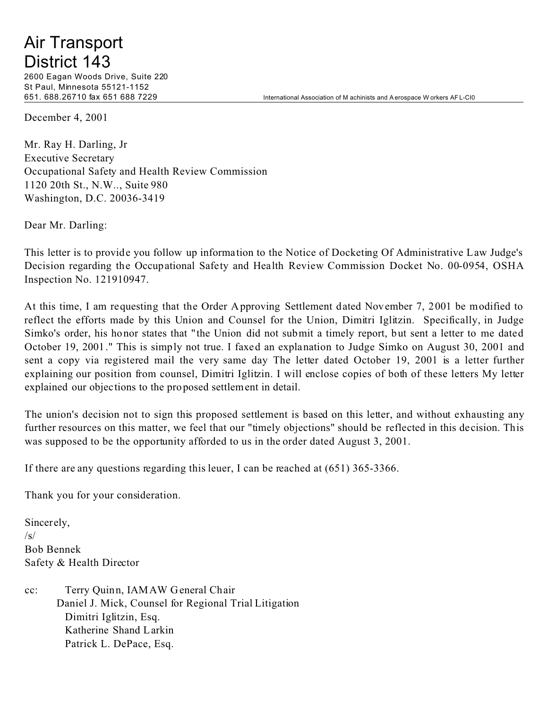# Air Transport District 143

2600 Eagan Woods Drive, Suite 220 St Paul, Minnesota 55121-1152

651. 688.26710 fax 651 688 7229 International Association of M achinists and A erospace W orkers AF L-CI0

December 4, 2001

Mr. Ray H. Darling, Jr Executive Secretary Occupational Safety and Health Review Commission 1120 20th St., N.W.., Suite 980 Washington, D.C. 20036-3419

Dear Mr. Darling:

This letter is to provide you follow up information to the Notice of Docketing Of Administrative Law Judge's Decision regarding the Occupational Safety and Health Review Commission Docket No. 00-0954, OSHA Inspection No. 121910947.

At this time, I am requesting that the Order Approving Settlement dated November 7, 2001 be modified to reflect the efforts made by this Union and Counsel for the Union, Dimitri Iglitzin. Specifically, in Judge Simko's order, his honor states that " the Union did not submit a timely report, but sent a letter to me dated October 19, 2001." This is simply not true. I faxed an explanation to Judge Simko on August 30, 2001 and sent a copy via registered mail the very same day The letter dated October 19, 2001 is a letter further explaining our position from counsel, Dimitri Iglitzin. I will enclose copies of both of these letters My letter explained our objections to the proposed settlement in detail.

The union's decision not to sign this proposed settlement is based on this letter, and without exhausting any further resources on this matter, we feel that our "timely objections" should be reflected in this decision. This was supposed to be the opportunity afforded to us in the order dated August 3, 2001.

If there are any questions regarding this leuer, I can be reached at (651) 365-3366.

Thank you for your consideration.

Sincerely,  $\sqrt{s}$ Bob Bennek Safety & Health Director

cc: Terry Quinn, IAMAW General Chair Daniel J. Mick, Counsel for Regional Trial Litigation Dimitri Iglitzin, Esq. Katherine Shand Larkin Patrick L. DePace, Esq.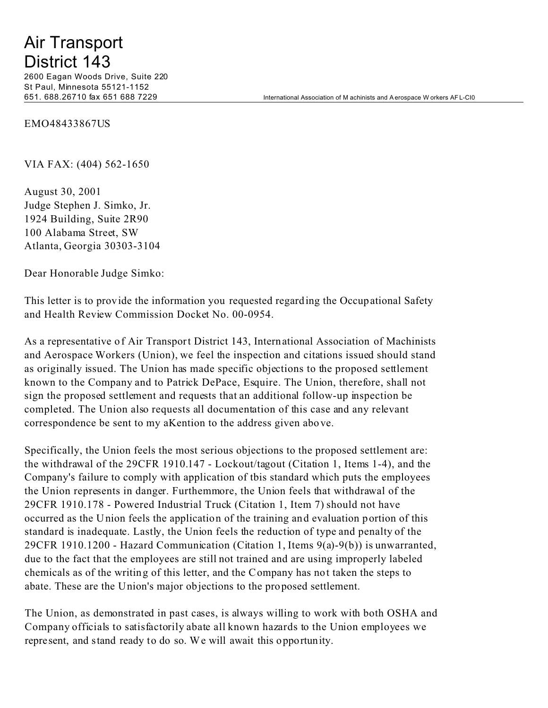# Air Transport District 143

2600 Eagan Woods Drive, Suite 220 St Paul, Minnesota 55121-1152

651. 688.26710 fax 651 688 7229 International Association of M achinists and A erospace W orkers AF L-CI0

EMO48433867US

VIA FAX: (404) 562-1650

August 30, 2001 Judge Stephen J. Simko, Jr. 1924 Building, Suite 2R90 100 Alabama Street, SW Atlanta, Georgia 30303-3104

Dear Honorable Judge Simko:

This letter is to provide the information you requested regarding the Occupational Safety and Health Review Commission Docket No. 00-0954.

As a representative of Air Transport District 143, International Association of Machinists and Aerospace Workers (Union), we feel the inspection and citations issued should stand as originally issued. The Union has made specific objections to the proposed settlement known to the Company and to Patrick DePace, Esquire. The Union, therefore, shall not sign the proposed settlement and requests that an additional follow-up inspection be completed. The Union also requests all documentation of this case and any relevant correspondence be sent to my aKention to the address given above.

Specifically, the Union feels the most serious objections to the proposed settlement are: the withdrawal of the 29CFR 1910.147 - Lockout/tagout (Citation 1, Items 1-4), and the Company's failure to comply with application of tbis standard which puts the employees the Union represents in danger. Furthemmore, the Union feels that withdrawal of the 29CFR 1910.178 - Powered Industrial Truck (Citation 1, Item 7) should not have occurred as the Union feels the application of the training and evaluation portion of this standard is inadequate. Lastly, the Union feels the reduction of type and penalty of the 29CFR 1910.1200 - Hazard Communication (Citation 1, Items 9(a)-9(b)) is unwarranted, due to the fact that the employees are still not trained and are using improperly labeled chemicals as of the writing of this letter, and the Company has not taken the steps to abate. These are the Union's major objections to the proposed settlement.

The Union, as demonstrated in past cases, is always willing to work with both OSHA and Company officials to satisfactorily abate all known hazards to the Union employees we represent, and stand ready to do so. We will await this opportunity.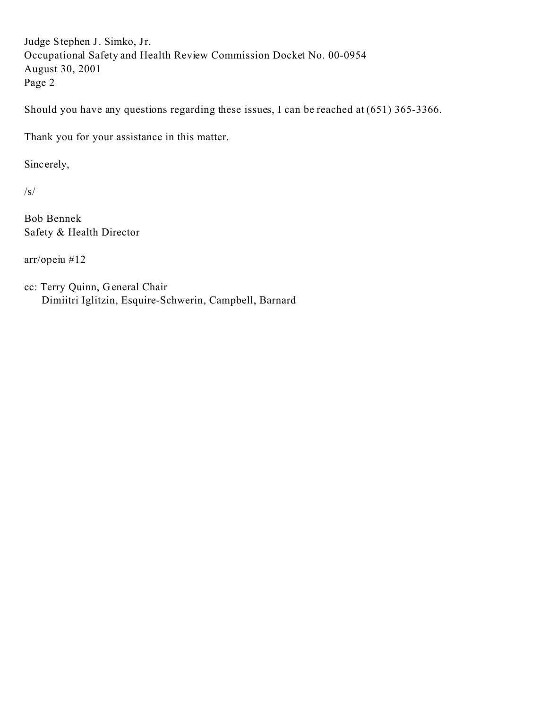Judge Stephen J. Simko, Jr. Occupational Safety and Health Review Commission Docket No. 00-0954 August 30, 2001 Page 2

Should you have any questions regarding these issues, I can be reached at (651) 365-3366.

Thank you for your assistance in this matter.

Sincerely,

/s/

Bob Bennek Safety & Health Director

arr/opeiu #12

cc: Terry Quinn, General Chair Dimiitri Iglitzin, Esquire-Schwerin, Campbell, Barnard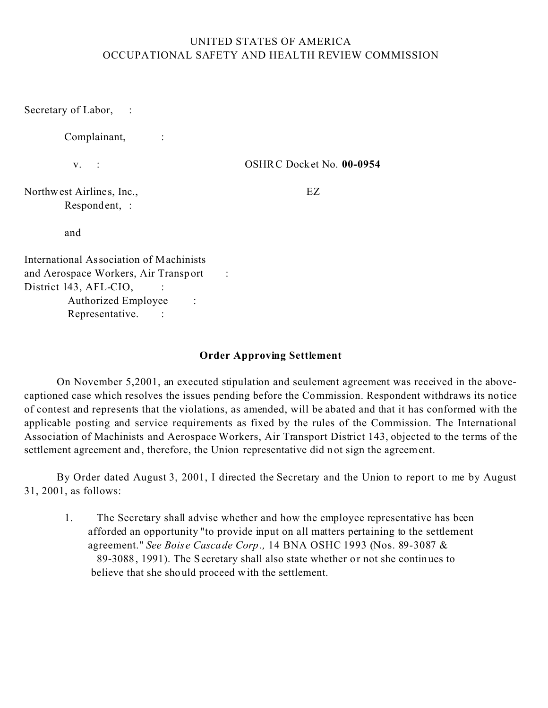# UNITED STATES OF AMERICA OCCUPATIONAL SAFETY AND HEALTH REVIEW COMMISSION

Secretary of Labor, :

Complainant, :

v. :

OSHRC Docket No. **00-0954** 

Northwest Airlines, Inc., Respondent, :

EZ

and

International Association of Machinists and Aerospace Workers, Air Transport District 143, AFL-CIO, Authorized Employee : Representative. : :

# **Order Approving Settlement**

On November 5,2001, an executed stipulation and seulement agreement was received in the abovecaptioned case which resolves the issues pending before the Commission. Respondent withdraws its notice of contest and represents that the violations, as amended, will be abated and that it has conformed with the applicable posting and service requirements as fixed by the rules of the Commission. The International Association of Machinists and Aerospace Workers, Air Transport District 143, objected to the terms of the settlement agreement and, therefore, the Union representative did not sign the agreement.

By Order dated August 3, 2001, I directed the Secretary and the Union to report to me by August 31, 2001, as follows:

1. The Secretary shall advise whether and how the employee representative has been afforded an opportunity "to provide input on all matters pertaining to the settlement agreement." *See Boise Cascade Corp.,* 14 BNA OSHC 1993 (Nos. 89-3087 & 89-3088, 1991). The Secretary shall also state whether or not she continues to believe that she should proceed with the settlement.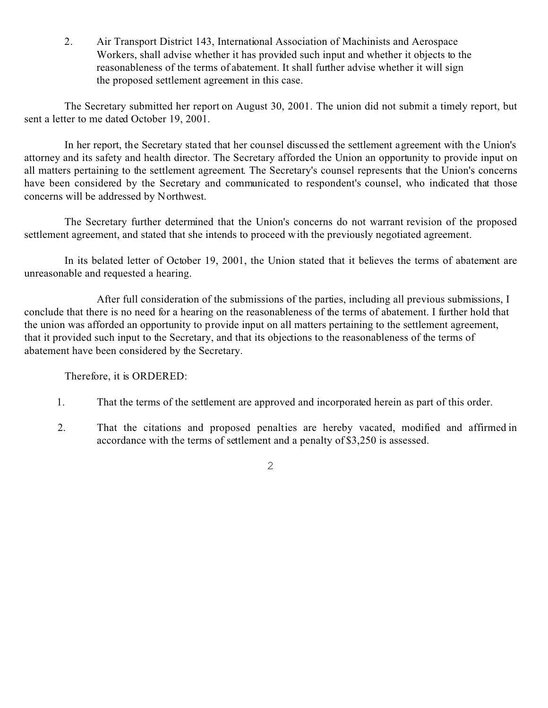2. Air Transport District 143, International Association of Machinists and Aerospace Workers, shall advise whether it has provided such input and whether it objects to the reasonableness of the terms of abatement. It shall further advise whether it will sign the proposed settlement agreement in this case.

The Secretary submitted her report on August 30, 2001. The union did not submit a timely report, but sent a letter to me dated October 19, 2001.

In her report, the Secretary stated that her counsel discussed the settlement agreement with the Union's attorney and its safety and health director. The Secretary afforded the Union an opportunity to provide input on all matters pertaining to the settlement agreement. The Secretary's counsel represents that the Union's concerns have been considered by the Secretary and communicated to respondent's counsel, who indicated that those concerns will be addressed by Northwest.

The Secretary further determined that the Union's concerns do not warrant revision of the proposed settlement agreement, and stated that she intends to proceed with the previously negotiated agreement.

In its belated letter of October 19, 2001, the Union stated that it believes the terms of abatement are unreasonable and requested a hearing.

After full consideration of the submissions of the parties, including all previous submissions, I conclude that there is no need for a hearing on the reasonableness of the terms of abatement. I further hold that the union was afforded an opportunity to provide input on all matters pertaining to the settlement agreement, that it provided such input to the Secretary, and that its objections to the reasonableness of the terms of abatement have been considered by the Secretary.

Therefore, it is ORDERED:

- 1. That the terms of the settlement are approved and incorporated herein as part of this order.
- 2. That the citations and proposed penalties are hereby vacated, modified and affirmed in accordance with the terms of settlement and a penalty of \$3,250 is assessed.

2